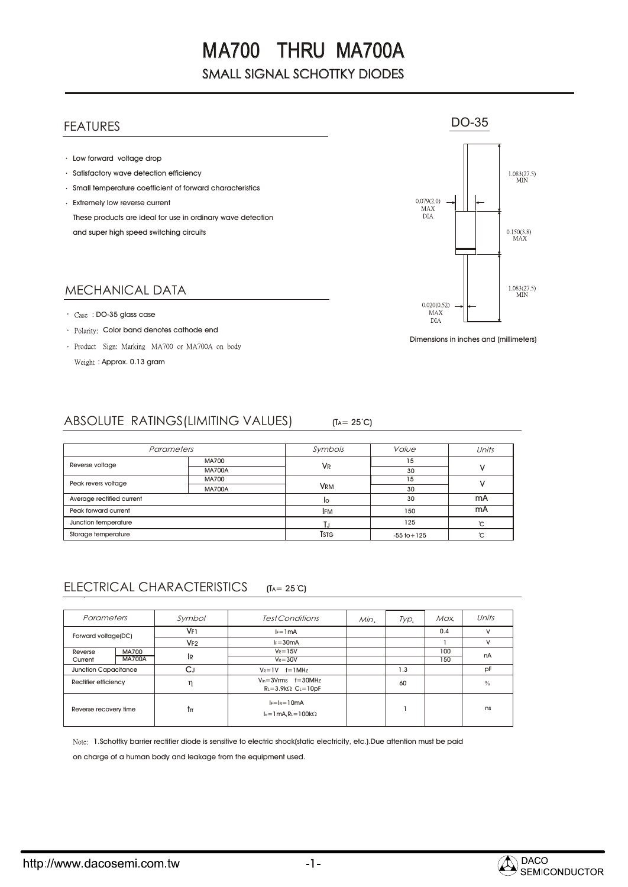## FEATURES

- Low forward voltage drop
- Satisfactory wave detection efficiency
- Small temperature coefficient of forward characteristics
- Extremely low reverse current These products are ideal for use in ordinary wave detection and super high speed switching circuits

### MECHANICAL DATA

- : DO-35 glass case
- Polarity: Color band denotes cathode end
- · Product Sign: Marking MA700 or MA700A on body Weight: Approx. 0.13 gram



Dimensions in inches and (millimeters)

#### ABSOLUTE RATINGS(LIMITING VALUES)  $(T_A = 25^{\circ}C)$

| Parameters                |               | Symbols              | Value           | Units |  |
|---------------------------|---------------|----------------------|-----------------|-------|--|
| Reverse voltage           | <b>MA700</b>  |                      | 15              |       |  |
|                           | <b>MA700A</b> | <b>V<sub>R</sub></b> | 30              |       |  |
| Peak revers voltage       | <b>MA700</b>  |                      | 15              |       |  |
|                           | <b>MA700A</b> | <b>VRM</b>           | 30              |       |  |
| Average rectified current |               | ΙO                   | 30              | mA    |  |
| Peak forward current      |               | <b>IFM</b>           | 150             | mA    |  |
| Junction temperature      |               |                      | 125             | °C    |  |
| Storage temperature       |               | Tstg                 | $-55$ to $+125$ | ∽     |  |

#### ELECTRICAL CHARACTERISTICS  $(T_A = 25^{\circ}C)$

| Parameters                  |                               | Symbol          | Test Conditions                                                          | Min. | Typ. | Max. | Units         |
|-----------------------------|-------------------------------|-----------------|--------------------------------------------------------------------------|------|------|------|---------------|
| Forward voltage(DC)         |                               | V <sub>F1</sub> | $l = 1mA$                                                                |      |      | 0.4  | v             |
|                             |                               | V <sub>F2</sub> | $I_F = 30mA$                                                             |      |      |      | v             |
| Reverse                     | <b>MA700</b><br><b>MA700A</b> |                 | $V_R = 15V$                                                              |      |      | 100  | nA            |
| Current                     |                               | IR              | $V_R = 30V$                                                              |      |      | 150  |               |
| <b>Junction Capacitance</b> |                               | СJ              | $V_R = 1V$ $f = 1MHz$                                                    |      | 1.3  |      | pF            |
| Rectifier efficiency        |                               | η               | $V_{in} = 3V$ rms $f = 30MHz$<br>$R_l = 3.9k\Omega$ C <sub>L</sub> =10pF |      | 60   |      | $\frac{0}{0}$ |
| Reverse recovery time       |                               | trr             | $I_F = I_R = 10mA$<br>$I_{rr}$ = 1 mA.RL = 100k $\Omega$                 |      |      |      | ns            |

1.Schottky barrier rectifier diode is sensitive to electric shock(static electricity, etc.).Due attention must be paid

on charge of a human body and leakage from the equipment used.

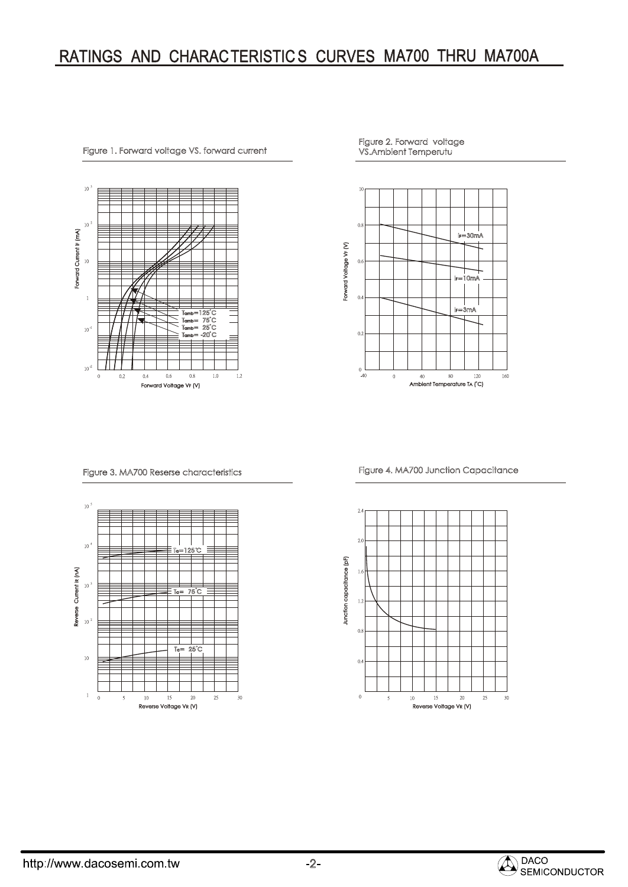# RATINGS AND CHARACTERISTICS CURVES MA700 THRU MA700A



Figure 1. Forward voltage VS. forward current

Figure 2. Forward voltage VS.Ambient Temperutu



Figure 3. MA700 Reserse characteristics



Figure 4. MA700 Junction Capacitance